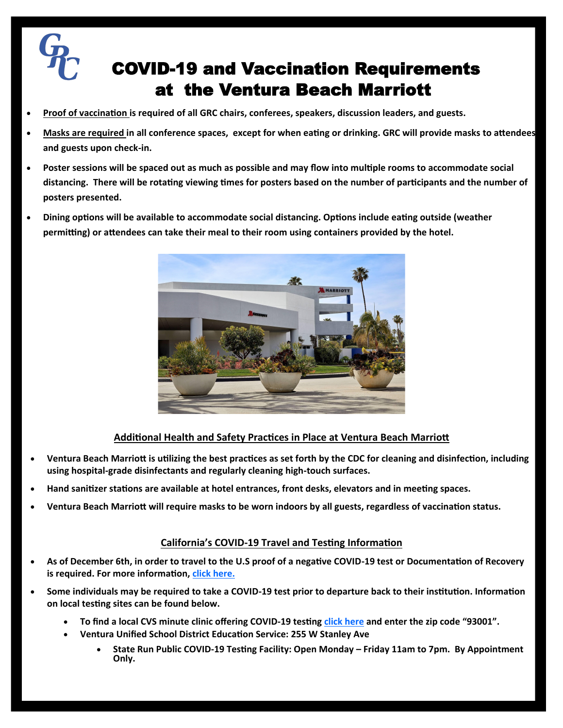## COVID-19 and Vaccination Requirements at the Ventura Beach Marriott

- **Proof of vaccination is required of all GRC chairs, conferees, speakers, discussion leaders, and guests.**
- **Masks are required in all conference spaces, except for when eating or drinking. GRC will provide masks to attendees and guests upon check-in.**
- **Poster sessions will be spaced out as much as possible and may flow into multiple rooms to accommodate social distancing. There will be rotating viewing times for posters based on the number of participants and the number of posters presented.**
- **Dining options will be available to accommodate social distancing. Options include eating outside (weather permitting) or attendees can take their meal to their room using containers provided by the hotel.**



## **Additional Health and Safety Practices in Place at Ventura Beach Marriott**

- **Ventura Beach Marriott is utilizing the best practices as set forth by the CDC for cleaning and disinfection, including using hospital-grade disinfectants and regularly cleaning high-touch surfaces.**
- **Hand sanitizer stations are available at hotel entrances, front desks, elevators and in meeting spaces.**
- **Ventura Beach Marriott will require masks to be worn indoors by all guests, regardless of vaccination status.**

## **California's COVID-19 Travel and Testing Information**

- **As of December 6th, in order to travel to the U.S proof of a negative COVID-19 test or Documentation of Recovery is required. For more information, [click here.](https://www.cdc.gov/coronavirus/2019-ncov/travelers/testing-international-air-travelers.html#general)**
- **Some individuals may be required to take a COVID-19 test prior to departure back to their institution. Information on local testing sites can be found below.**
	- **To find a local CVS minute clinic offering COVID-19 testing [click here](https://www.cvs.com/minuteclinic/covid-19-testing) and enter the zip code "93001".**
		- **Ventura Unified School District Education Service: 255 W Stanley Ave**
			- **State Run Public COVID-19 Testing Facility: Open Monday – Friday 11am to 7pm. By Appointment Only.**